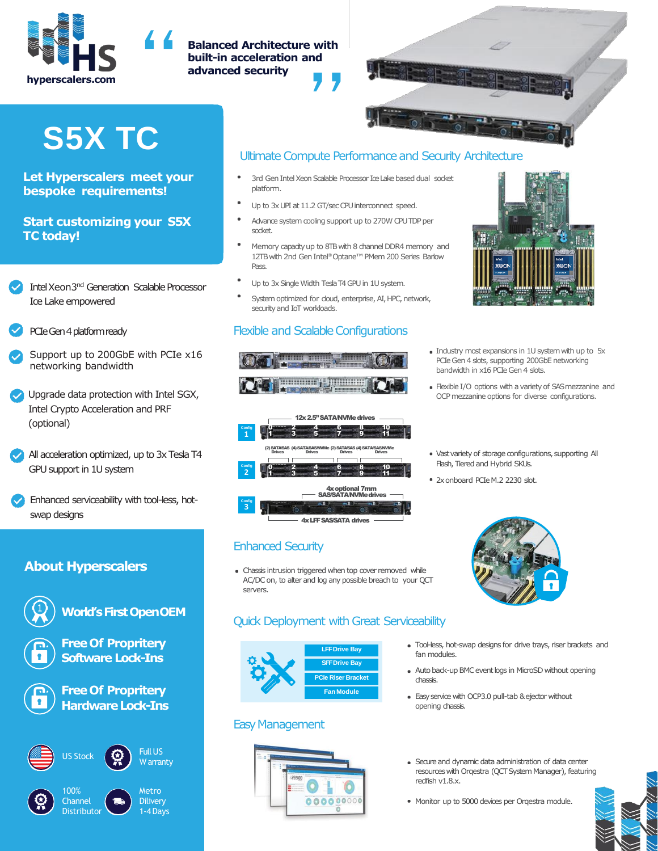

# **Balanced Architecture with built-in acceleration and advanced security**



# **S5X TC**

#### **Let Hyperscalers meet your bespoke requirements!**

#### **Start customizing your S5X TC today!**

- Intel Xeon3<sup>nd</sup> Generation Scalable Processor Ice Lake empowered
- PCIe Gen 4 platform ready
- Support up to 200GbE with PCIe x16 networking bandwidth
- Upgrade data protection with Intel SGX, Intel Crypto Acceleration and PRF (optional)
- All acceleration optimized, up to 3x Tesla T4 GPU support in 1U system
- Enhanced serviceability with tool-less, hotswap designs

## **About Hyperscalers**



# **World's First OpenOEM**

**Free Of Propritery Software Lock-Ins**

**Free Of Propritery Hardware Lock-Ins** 



1-4Days

**Distributor** 

# Ultimate Compute Performance and Security Architecture

- 3rd Gen Intel Xeon Scalable Processor Ice Lake based dual socket platform.
- Up to 3x UPI at 11.2 GT/sec CPU interconnect speed.
- Advance system cooling support up to 270W CPU TDP per socket.
- Memory capacity up to 8TB with 8 channel DDR4 memory and 12TB with 2nd Gen Intel® Optane™PMem 200 Series Barlow Pass.
- Up to 3x Single Width Tesla T4 GPU in 1U system.
- System optimized for cloud, enterprise, AI, HPC, network, security and IoT workloads.

12x 2.5" SATA/NVMe drives

ar ya gama ma

0  $2$  6 6 8 0 10 1  $\circ$  3  $\circ$  5  $\circ$  7  $\circ$  9  $\circ$  11

Drives Drives Drives Drives

 $0$   $2$   $4$  6  $6$  8 10  $1 \cdot 3 \cdot 6 \cdot 5 \cdot 7 \cdot 9 \cdot 11$ 

> ional 7mm SAS/SATA/NVMedriv

(2) SATA/SAS (4) SATA/SAS

## Flexible and Scalable Configurations



- Industry most expansions in 1U system with up to 5x PCIe Gen 4 slots, supporting 200GbE networking bandwidth in x16 PCIe Gen 4 slots.
- Flexible I/O options with a variety of SAS mezzanine and OCP mezzanine options for diverse configurations.
- Vast variety of storage configurations, supporting All Flash, Tiered and Hybrid SKUs.
- 2x onboard PCIe M.2 2230 slot.



**Config 1**

**Config 2**

**Config 3**

Chassis intrusion triggered when top cover removed while AC/DC on, to alter and log any possible breach to your QCT servers.

4x LFF SAS/SATA drives

## Quick Deployment with Great Serviceability



#### Easy Management





- Tool-less, hot-swap designs for drive trays, riser brackets and fan modules.
- Auto back-up BMC event logs in MicroSD without opening chassis.
- Easy service with OCP3.0 pull-tab & ejector without opening chassis.
- Secure and dynamic data administration of data center resources with Orqestra (QCT System Manager), featuring redfish v1.8.x.
- Monitor up to 5000 devices per Orqestra module.